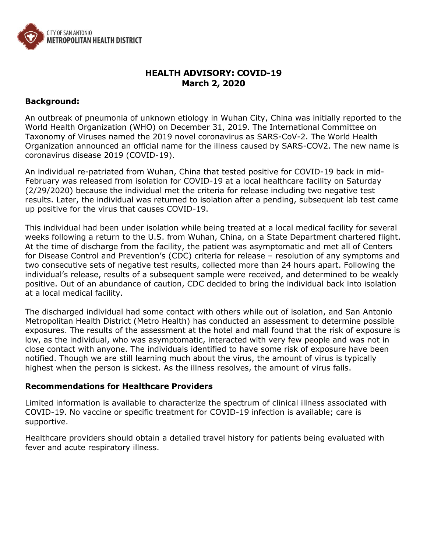

# **HEALTH ADVISORY: COVID-19 March 2, 2020**

#### **Background:**

An outbreak of pneumonia of unknown etiology in Wuhan City, China was initially reported to the World Health Organization (WHO) on December 31, 2019. The International Committee on Taxonomy of Viruses named the 2019 novel coronavirus as SARS-CoV-2. The World Health Organization announced an official name for the illness caused by SARS-COV2. The new name is coronavirus disease 2019 (COVID-19).

An individual re-patriated from Wuhan, China that tested positive for COVID-19 back in mid-February was released from isolation for COVID-19 at a local healthcare facility on Saturday (2/29/2020) because the individual met the criteria for release including two negative test results. Later, the individual was returned to isolation after a pending, subsequent lab test came up positive for the virus that causes COVID-19.

This individual had been under isolation while being treated at a local medical facility for several weeks following a return to the U.S. from Wuhan, China, on a State Department chartered flight. At the time of discharge from the facility, the patient was asymptomatic and met all of Centers for Disease Control and Prevention's (CDC) criteria for release – resolution of any symptoms and two consecutive sets of negative test results, collected more than 24 hours apart. Following the individual's release, results of a subsequent sample were received, and determined to be weakly positive. Out of an abundance of caution, CDC decided to bring the individual back into isolation at a local medical facility.

The discharged individual had some contact with others while out of isolation, and San Antonio Metropolitan Health District (Metro Health) has conducted an assessment to determine possible exposures. The results of the assessment at the hotel and mall found that the risk of exposure is low, as the individual, who was asymptomatic, interacted with very few people and was not in close contact with anyone. The individuals identified to have some risk of exposure have been notified. Though we are still learning much about the virus, the amount of virus is typically highest when the person is sickest. As the illness resolves, the amount of virus falls.

#### **Recommendations for Healthcare Providers**

Limited information is available to characterize the spectrum of clinical illness associated with COVID-19. No vaccine or specific treatment for COVID-19 infection is available; care is supportive.

Healthcare providers should obtain a detailed travel history for patients being evaluated with fever and acute respiratory illness.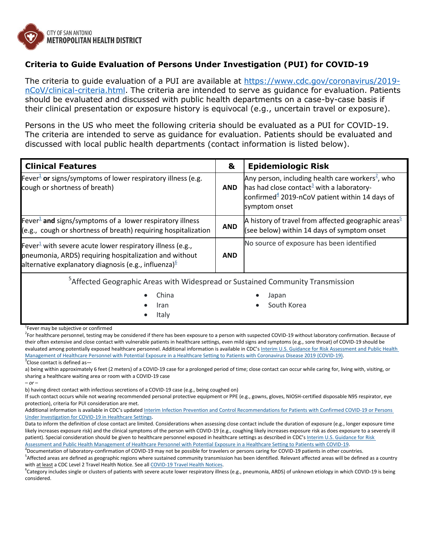

## **Criteria to Guide Evaluation of Persons Under Investigation (PUI) for COVID-19**

The criteria to guide evaluation of a PUI are available at [https://www.cdc.gov/coronavirus/2019](https://www.cdc.gov/coronavirus/2019-nCoV/clinical-criteria.html) [nCoV/clinical-criteria.html.](https://www.cdc.gov/coronavirus/2019-nCoV/clinical-criteria.html) The criteria are intended to serve as guidance for evaluation. Patients should be evaluated and discussed with public health departments on a case-by-case basis if their clinical presentation or exposure history is equivocal (e.g., uncertain travel or exposure).

Persons in the US who meet the following criteria should be evaluated as a PUI for COVID-19. The criteria are intended to serve as guidance for evaluation. Patients should be evaluated and discussed with local public health departments (contact information is listed below).

| <b>Clinical Features</b>                                                                                                                                                                            | &          | <b>Epidemiologic Risk</b>                                                                                                                                                                   |
|-----------------------------------------------------------------------------------------------------------------------------------------------------------------------------------------------------|------------|---------------------------------------------------------------------------------------------------------------------------------------------------------------------------------------------|
| Fever <sup>1</sup> or signs/symptoms of lower respiratory illness (e.g.<br>cough or shortness of breath)                                                                                            | <b>AND</b> | Any person, including health care workers <sup>2</sup> , who<br>has had close contact <sup>3</sup> with a laboratory-<br>confirmed $4$ 2019-nCoV patient within 14 days of<br>symptom onset |
| Fever <sup><math>\pm</math></sup> and signs/symptoms of a lower respiratory illness<br>(e.g., cough or shortness of breath) requiring hospitalization                                               | <b>AND</b> | A history of travel from affected geographic areas <sup><math>\geq</math></sup><br>(see below) within 14 days of symptom onset                                                              |
| Fever <sup>1</sup> with severe acute lower respiratory illness (e.g.,<br>pneumonia, ARDS) requiring hospitalization and without<br>alternative explanatory diagnosis (e.g., influenza) <sup>6</sup> | <b>AND</b> | No source of exposure has been identified                                                                                                                                                   |

5 Affected Geographic Areas with Widespread or Sustained Community Transmission

China

Japan

South Korea

- Iran
- 
- Italy
- <sup>1</sup>Fever may be subjective or confirmed

<sup>2</sup>For healthcare personnel, testing may be considered if there has been exposure to a person with suspected COVID-19 without laboratory confirmation. Because of their often extensive and close contact with vulnerable patients in healthcare settings, even mild signs and symptoms (e.g., sore throat) of COVID-19 should be evaluated among potentially exposed healthcare personnel. Additional information is available in CDC's Interim U.S. Guidance for Risk Assessment and Public Health [Management of Healthcare Personnel with Potential Exposure in a Healthcare Setting to Patients with Coronavirus Disease 2019 \(COVID-19\).](https://www.cdc.gov/coronavirus/2019-ncov/hcp/guidance-risk-assesment-hcp.html) <sup>3</sup>Close contact is defined as-

a) being within approximately 6 feet (2 meters) of a COVID-19 case for a prolonged period of time; close contact can occur while caring for, living with, visiting, or sharing a healthcare waiting area or room with a COVID-19 case *– or –*

b) having direct contact with infectious secretions of a COVID-19 case (e.g., being coughed on)

If such contact occurs while not wearing recommended personal protective equipment or PPE (e.g., gowns, gloves, NIOSH-certified disposable N95 respirator, eye protection), criteria for PUI consideration are met.

Additional information is available in CDC's updated Interim Infection Prevention and Control Recommendations for Patients with Confirmed COVID-19 or Persons [Under Investigation for COVID-19 in Healthcare Settings.](https://www.cdc.gov/coronavirus/2019-ncov/infection-control/control-recommendations.html)

Data to inform the definition of close contact are limited. Considerations when assessing close contact include the duration of exposure (e.g., longer exposure time likely increases exposure risk) and the clinical symptoms of the person with COVID-19 (e.g., coughing likely increases exposure risk as does exposure to a severely ill patient). Special consideration should be given to healthcare personnel exposed in healthcare settings as described in CDC's Interim U.S. Guidance for Risk [Assessment and Public Health Management of Healthcare Personnel with Potential Exposure in a Healthcare Setting to Patients with COVID-19.](https://www.cdc.gov/coronavirus/2019-ncov/hcp/guidance-risk-assesment-hcp.html)

4 Documentation of laboratory-confirmation of COVID-19 may not be possible for travelers or persons caring for COVID-19 patients in other countries. <sup>5</sup>Affected areas are defined as geographic regions where sustained community transmission has been identified. Relevant affected areas will be defined as a country with at least a CDC Level 2 Travel Health Notice. See all [COVID-19 Travel Health Notices.](https://www.cdc.gov/coronavirus/2019-ncov/travelers/)

<sup>6</sup>Category includes single or clusters of patients with severe acute lower respiratory illness (e.g., pneumonia, ARDS) of unknown etiology in which COVID-19 is being considered.